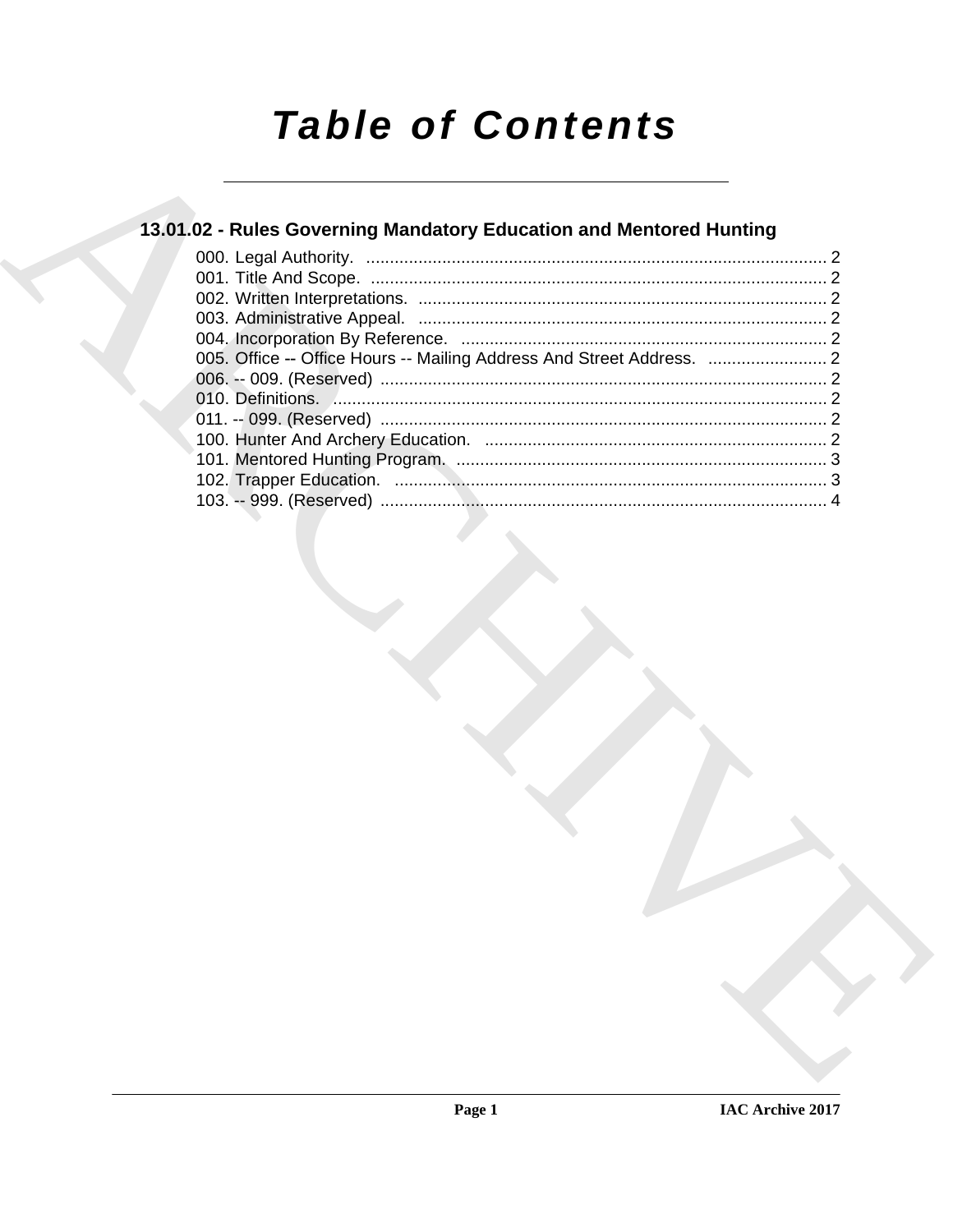# **Table of Contents**

## 13.01.02 - Rules Governing Mandatory Education and Mentored Hunting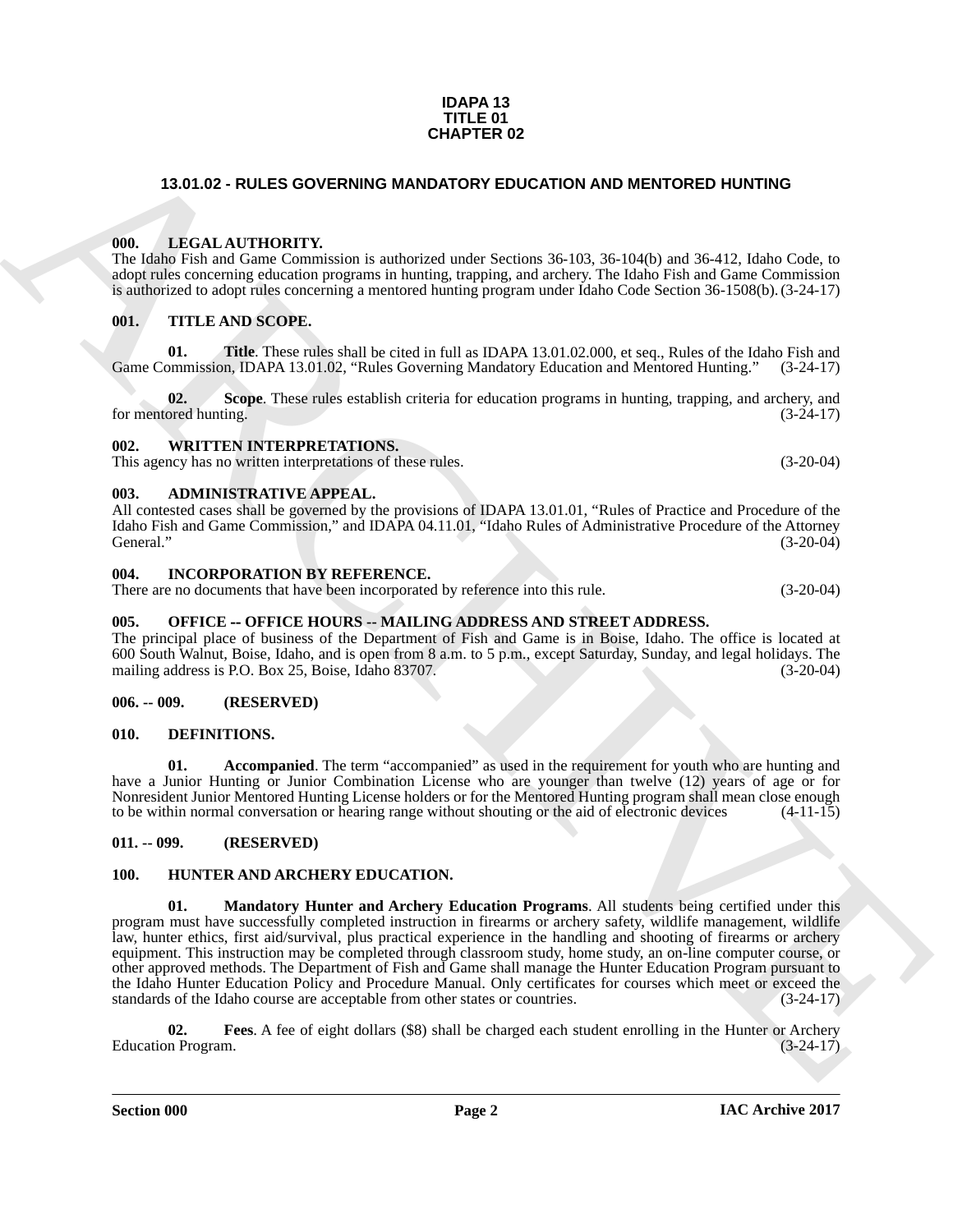### **IDAPA 13 TITLE 01 CHAPTER 02**

### <span id="page-1-0"></span>**13.01.02 - RULES GOVERNING MANDATORY EDUCATION AND MENTORED HUNTING**

### <span id="page-1-1"></span>**000. LEGAL AUTHORITY.**

The Idaho Fish and Game Commission is authorized under Sections 36-103, 36-104(b) and 36-412, Idaho Code, to adopt rules concerning education programs in hunting, trapping, and archery. The Idaho Fish and Game Commission is authorized to adopt rules concerning a mentored hunting program under Idaho Code Section 36-1508(b). (3-24-17)

### <span id="page-1-2"></span>**001. TITLE AND SCOPE.**

**01.** Title. These rules shall be cited in full as IDAPA 13.01.02.000, et seq., Rules of the Idaho Fish and primission, IDAPA 13.01.02, "Rules Governing Mandatory Education and Mentored Hunting." (3-24-17) Game Commission, IDAPA 13.01.02, "Rules Governing Mandatory Education and Mentored Hunting."

**02.** Scope. These rules establish criteria for education programs in hunting, trapping, and archery, and for mentored hunting. (3-24-17)

### <span id="page-1-3"></span>**002. WRITTEN INTERPRETATIONS.**

This agency has no written interpretations of these rules. (3-20-04)

### <span id="page-1-4"></span>**003. ADMINISTRATIVE APPEAL.**

All contested cases shall be governed by the provisions of IDAPA 13.01.01, "Rules of Practice and Procedure of the Idaho Fish and Game Commission," and IDAPA 04.11.01, "Idaho Rules of Administrative Procedure of the Attorney General." (3-20-04)

### <span id="page-1-5"></span>**004. INCORPORATION BY REFERENCE.**

There are no documents that have been incorporated by reference into this rule. (3-20-04)

### <span id="page-1-6"></span>005. OFFICE -- OFFICE HOURS -- MAILING ADDRESS AND STREET ADDRESS.

The principal place of business of the Department of Fish and Game is in Boise, Idaho. The office is located at 600 South Walnut, Boise, Idaho, and is open from 8 a.m. to 5 p.m., except Saturday, Sunday, and legal holidays. The mailing address is P.O. Box 25, Boise, Idaho 83707.

### <span id="page-1-7"></span>**006. -- 009. (RESERVED)**

### <span id="page-1-11"></span><span id="page-1-8"></span>**010. DEFINITIONS.**

<span id="page-1-12"></span>**01.** Accompanied. The term "accompanied" as used in the requirement for youth who are hunting and have a Junior Hunting or Junior Combination License who are younger than twelve (12) years of age or for Nonresident Junior Mentored Hunting License holders or for the Mentored Hunting program shall mean close enough to be within normal conversation or hearing range without shouting or the aid of electronic devices (4-11-15) to be within normal conversation or hearing range without shouting or the aid of electronic devices

### <span id="page-1-9"></span>**011. -- 099. (RESERVED)**

### <span id="page-1-15"></span><span id="page-1-13"></span><span id="page-1-10"></span>**100. HUNTER AND ARCHERY EDUCATION.**

**13.01.02 - RULES GOVERNING MANDATORY EDUCATION AND MENTORED HUNTIMS<br>
THE LATER LATER CONTINENTS:<br>
THE LATER LATER CONTINENTS:<br>
THE LATER CONTINUES (Section 2018) and the state of the state of the state of the state of th 01. Mandatory Hunter and Archery Education Programs**. All students being certified under this program must have successfully completed instruction in firearms or archery safety, wildlife management, wildlife law, hunter ethics, first aid/survival, plus practical experience in the handling and shooting of firearms or archery equipment. This instruction may be completed through classroom study, home study, an on-line computer course, or other approved methods. The Department of Fish and Game shall manage the Hunter Education Program pursuant to the Idaho Hunter Education Policy and Procedure Manual. Only certificates for courses which meet or exceed the standards of the Idaho course are acceptable from other states or countries. (3-24-17) standards of the Idaho course are acceptable from other states or countries.

<span id="page-1-14"></span>**02. Fees**. A fee of eight dollars (\$8) shall be charged each student enrolling in the Hunter or Archery Education Program. (3-24-17)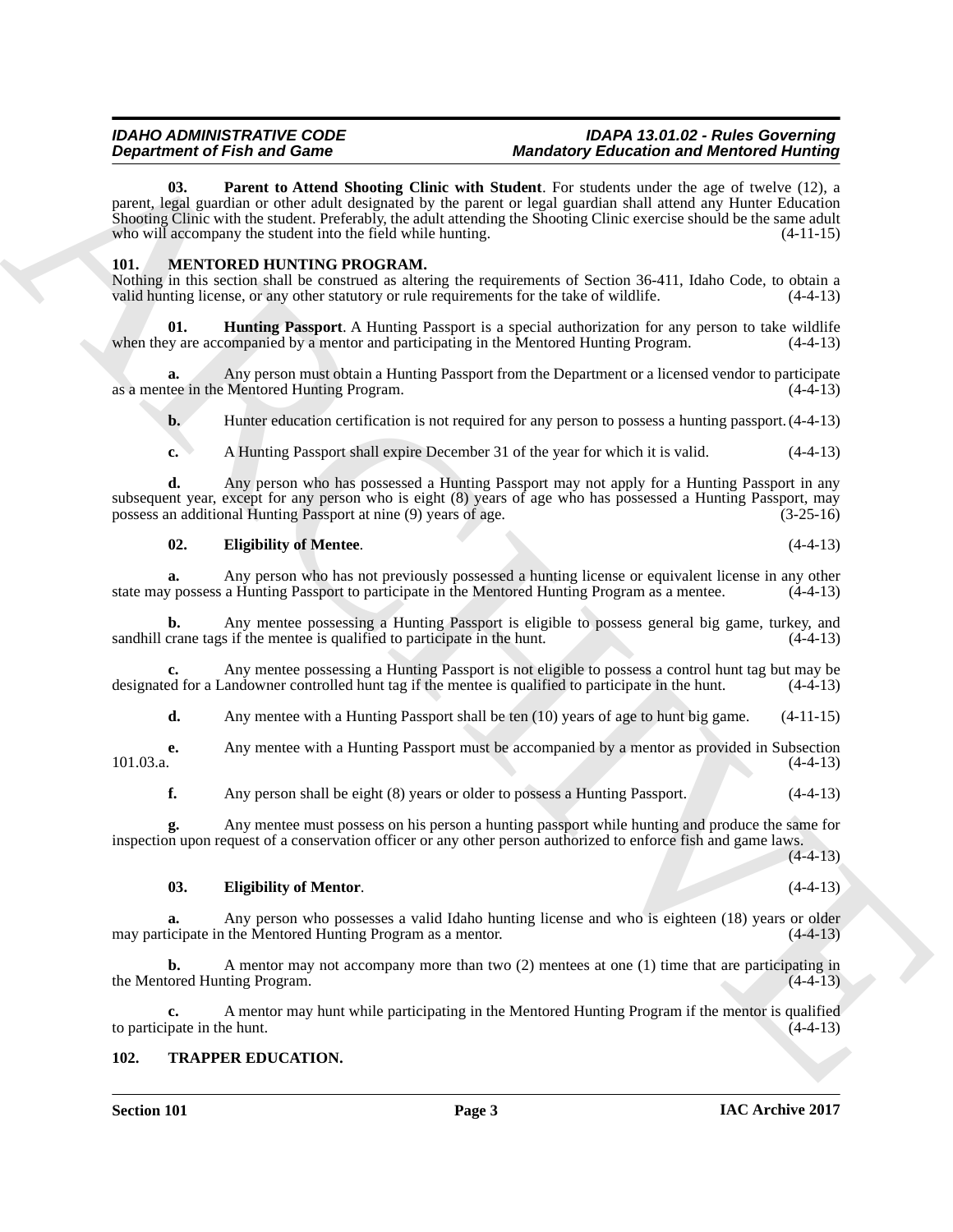### <span id="page-2-2"></span>*IDAHO ADMINISTRATIVE CODE IDAPA 13.01.02 - Rules Governing*  **Mandatory Education and Mentored Hunting**

**Department of Fair and Some to the Some Schwarks (Engine with Model Construction Fair and Model Channel Channel Channel Channel Channel Channel Channel Channel Channel Channel Channel Channel Channel Channel Channel Chan 03. Parent to Attend Shooting Clinic with Student**. For students under the age of twelve (12), a parent, legal guardian or other adult designated by the parent or legal guardian shall attend any Hunter Education Shooting Clinic with the student. Preferably, the adult attending the Shooting Clinic exercise should be the same adult who will accompany the student into the field while hunting. (4-11-15)

### <span id="page-2-3"></span><span id="page-2-0"></span>**101. MENTORED HUNTING PROGRAM.**

Nothing in this section shall be construed as altering the requirements of Section 36-411, Idaho Code, to obtain a valid hunting license, or any other statutory or rule requirements for the take of wildlife. (4-4-13)

<span id="page-2-6"></span>**01. Hunting Passport**. A Hunting Passport is a special authorization for any person to take wildlife when they are accompanied by a mentor and participating in the Mentored Hunting Program. (4-4-13)

**a.** Any person must obtain a Hunting Passport from the Department or a licensed vendor to participate tee in the Mentored Hunting Program. as a mentee in the Mentored Hunting Program.

**b.** Hunter education certification is not required for any person to possess a hunting passport.  $(4-4-13)$ 

**c.** A Hunting Passport shall expire December 31 of the year for which it is valid. (4-4-13)

**d.** Any person who has possessed a Hunting Passport may not apply for a Hunting Passport in any subsequent year, except for any person who is eight (8) years of age who has possessed a Hunting Passport, may<br>possess an additional Hunting Passport at nine (9) years of age.  $(3-25-16)$ possess an additional Hunting Passport at nine (9) years of age.

### <span id="page-2-4"></span>**02. Eligibility of Mentee**. (4-4-13)

**a.** Any person who has not previously possessed a hunting license or equivalent license in any other y possess a Hunting Passport to participate in the Mentored Hunting Program as a mentee.  $(4-4-13)$ state may possess a Hunting Passport to participate in the Mentored Hunting Program as a mentee.

**b.** Any mentee possessing a Hunting Passport is eligible to possess general big game, turkey, and crane tags if the mentee is qualified to participate in the hunt.  $(4-4-13)$ sandhill crane tags if the mentee is qualified to participate in the hunt.

**c.** Any mentee possessing a Hunting Passport is not eligible to possess a control hunt tag but may be ed for a Landowner controlled hunt tag if the mentee is qualified to participate in the hunt. (4-4-13) designated for a Landowner controlled hunt tag if the mentee is qualified to participate in the hunt.

**d.** Any mentee with a Hunting Passport shall be ten (10) years of age to hunt big game.  $(4-11-15)$ 

**e.** Any mentee with a Hunting Passport must be accompanied by a mentor as provided in Subsection (4-4-13)  $101.03.a.$  (4-4-13)

**f.** Any person shall be eight (8) years or older to possess a Hunting Passport. (4-4-13)

**g.** Any mentee must possess on his person a hunting passport while hunting and produce the same for inspection upon request of a conservation officer or any other person authorized to enforce fish and game laws.  $(4-4-13)$ 

### <span id="page-2-5"></span>**03. Eligibility of Mentor**. (4-4-13)

**a.** Any person who possesses a valid Idaho hunting license and who is eighteen (18) years or older may participate in the Mentored Hunting Program as a mentor. (4-4-13)

**b.** A mentor may not accompany more than two (2) mentees at one (1) time that are participating in the Mentored Hunting Program. (4-4-13)

**c.** A mentor may hunt while participating in the Mentored Hunting Program if the mentor is qualified to participate in the hunt.

### <span id="page-2-7"></span><span id="page-2-1"></span>**102. TRAPPER EDUCATION.**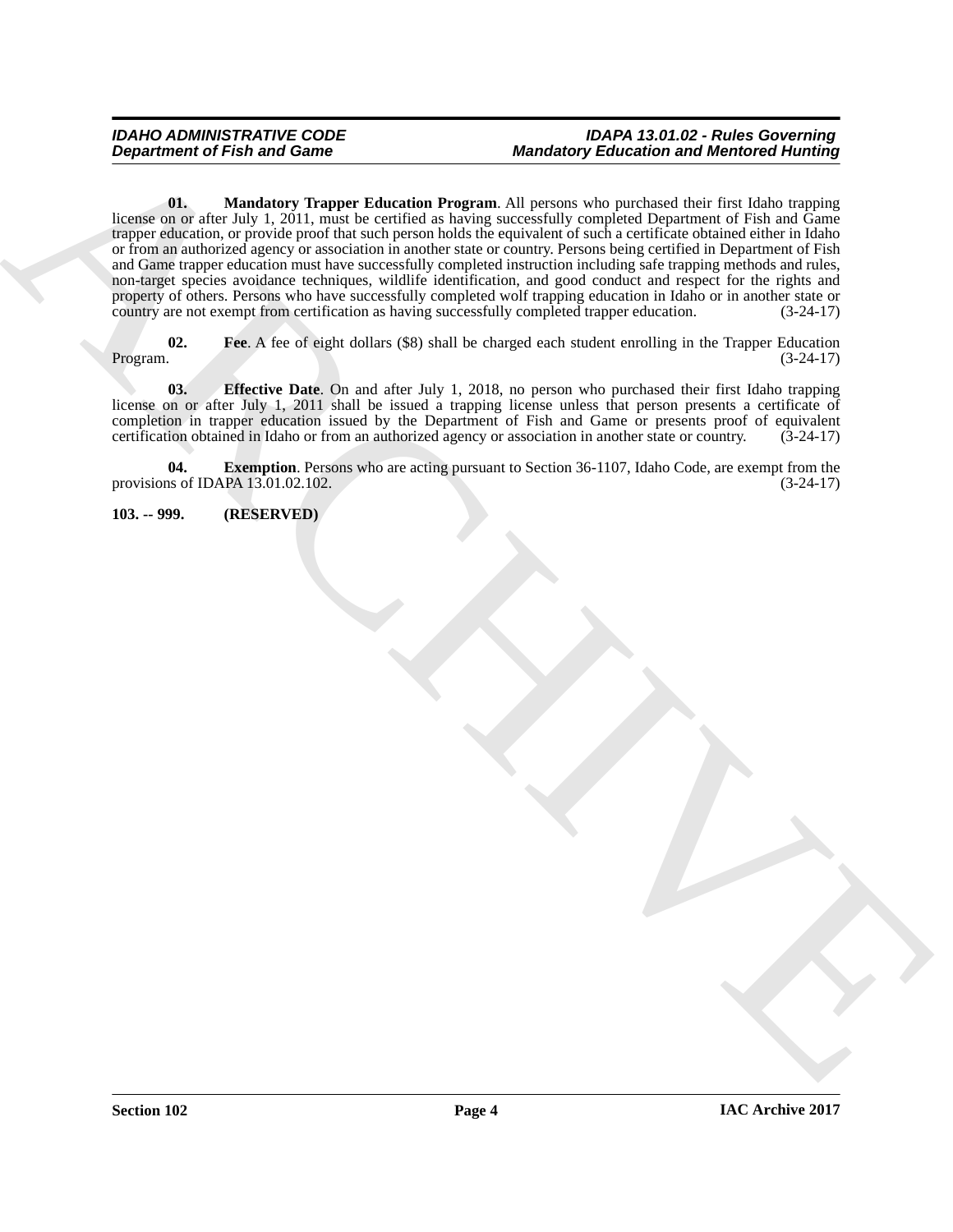### <span id="page-3-4"></span>*IDAHO ADMINISTRATIVE CODE IDAPA 13.01.02 - Rules Governing*  **Mandatory Education and Mentored Hunting**

Beginstering of Frish and Game<br>  $\frac{\partial u}{\partial t} = \frac{1}{2}$  Marchives  $\frac{\partial u}{\partial t} = \frac{1}{2}$  Marchives  $\frac{\partial u}{\partial t} = \frac{1}{2}$  Marchives  $\frac{\partial u}{\partial t} = \frac{1}{2}$  Marchives  $\frac{\partial u}{\partial t} = \frac{1}{2}$  Marchives  $\frac{\partial u}{\partial t} = \frac{1}{2}$  Marchives  $\frac$ **01. Mandatory Trapper Education Program**. All persons who purchased their first Idaho trapping license on or after July 1, 2011, must be certified as having successfully completed Department of Fish and Game trapper education, or provide proof that such person holds the equivalent of such a certificate obtained either in Idaho or from an authorized agency or association in another state or country. Persons being certified in Department of Fish and Game trapper education must have successfully completed instruction including safe trapping methods and rules, non-target species avoidance techniques, wildlife identification, and good conduct and respect for the rights and property of others. Persons who have successfully completed wolf trapping education in Idaho or in another state or country are not exempt from certification as having successfully completed trapper education. (3-24-17)

<span id="page-3-3"></span>**02.** Fee. A fee of eight dollars (\$8) shall be charged each student enrolling in the Trapper Education Program.  $(3-24-17)$ Program. (3-24-17)

<span id="page-3-1"></span>**03. Effective Date**. On and after July 1, 2018, no person who purchased their first Idaho trapping license on or after July 1, 2011 shall be issued a trapping license unless that person presents a certificate of completion in trapper education issued by the Department of Fish and Game or presents proof of equivalent certification obtained in Idaho or from an authorized agency or association in another state or country. (3-24-17)

<span id="page-3-2"></span>**04. Exemption**. Persons who are acting pursuant to Section 36-1107, Idaho Code, are exempt from the is of IDAPA 13.01.02.102. provisions of IDAPA  $13.01.02.102$ .

<span id="page-3-0"></span>**103. -- 999. (RESERVED)**